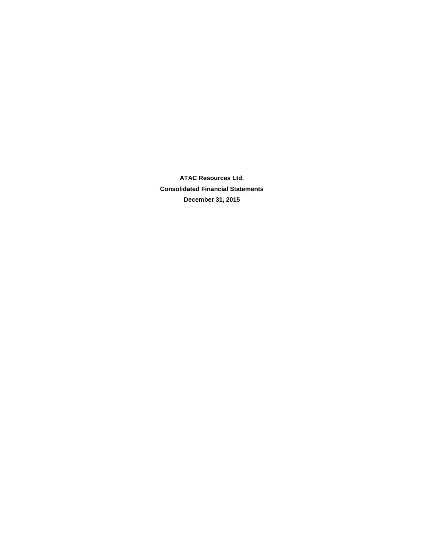**ATAC Resources Ltd. Consolidated Financial Statements December 31, 2015**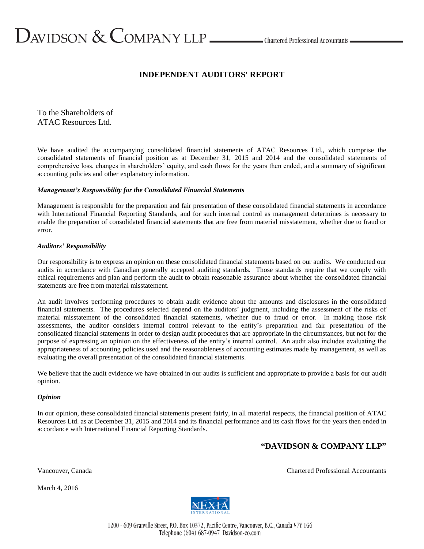# $D$ AVIDSON  $\&$  COMPANY LLP  $\_\_\_\_\$ Chartered Professional Accountants

# **INDEPENDENT AUDITORS' REPORT**

To the Shareholders of ATAC Resources Ltd.

We have audited the accompanying consolidated financial statements of ATAC Resources Ltd., which comprise the consolidated statements of financial position as at December 31, 2015 and 2014 and the consolidated statements of comprehensive loss, changes in shareholders' equity, and cash flows for the years then ended, and a summary of significant accounting policies and other explanatory information.

## *Management's Responsibility for the Consolidated Financial Statements*

Management is responsible for the preparation and fair presentation of these consolidated financial statements in accordance with International Financial Reporting Standards, and for such internal control as management determines is necessary to enable the preparation of consolidated financial statements that are free from material misstatement, whether due to fraud or error.

## *Auditors' Responsibility*

Our responsibility is to express an opinion on these consolidated financial statements based on our audits. We conducted our audits in accordance with Canadian generally accepted auditing standards. Those standards require that we comply with ethical requirements and plan and perform the audit to obtain reasonable assurance about whether the consolidated financial statements are free from material misstatement.

An audit involves performing procedures to obtain audit evidence about the amounts and disclosures in the consolidated financial statements. The procedures selected depend on the auditors' judgment, including the assessment of the risks of material misstatement of the consolidated financial statements, whether due to fraud or error. In making those risk assessments, the auditor considers internal control relevant to the entity's preparation and fair presentation of the consolidated financial statements in order to design audit procedures that are appropriate in the circumstances, but not for the purpose of expressing an opinion on the effectiveness of the entity's internal control. An audit also includes evaluating the appropriateness of accounting policies used and the reasonableness of accounting estimates made by management, as well as evaluating the overall presentation of the consolidated financial statements.

We believe that the audit evidence we have obtained in our audits is sufficient and appropriate to provide a basis for our audit opinion.

#### *Opinion*

In our opinion, these consolidated financial statements present fairly, in all material respects, the financial position of ATAC Resources Ltd. as at December 31, 2015 and 2014 and its financial performance and its cash flows for the years then ended in accordance with International Financial Reporting Standards.

## **"DAVIDSON & COMPANY LLP"**

March 4, 2016

Vancouver, Canada Chartered Professional Accountants



1200 - 609 Granville Street, P.O. Box 10372, Pacific Centre, Vancouver, B.C., Canada V7Y 1G6 Telephone (604) 687-0947 Davidson-co.com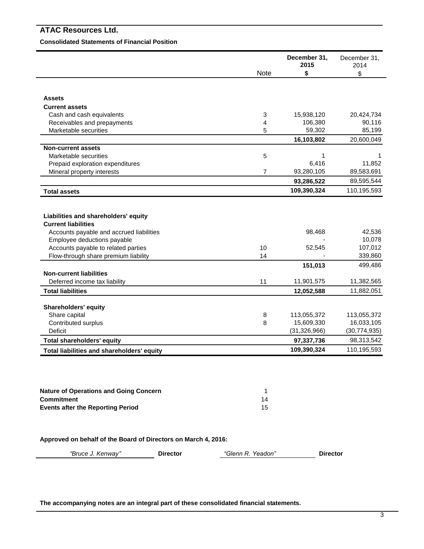Ė

-

#### **Consolidated Statements of Financial Position**

|                                                                         |                | December 31,<br>2015         | December 31,<br>2014         |
|-------------------------------------------------------------------------|----------------|------------------------------|------------------------------|
|                                                                         | <b>Note</b>    | \$                           | \$                           |
|                                                                         |                |                              |                              |
| <b>Assets</b>                                                           |                |                              |                              |
| <b>Current assets</b>                                                   |                |                              |                              |
| Cash and cash equivalents                                               | 3              | 15,938,120                   | 20,424,734                   |
| Receivables and prepayments                                             | 4              | 106,380                      | 90,116                       |
| Marketable securities                                                   | 5              | 59,302                       | 85,199                       |
|                                                                         |                | 16,103,802                   | 20,600,049                   |
| <b>Non-current assets</b>                                               |                |                              |                              |
| Marketable securities                                                   | 5              | 1                            | 1                            |
| Prepaid exploration expenditures                                        |                | 6,416                        | 11,852                       |
| Mineral property interests                                              | $\overline{7}$ | 93,280,105                   | 89,583,691                   |
|                                                                         |                | 93,286,522                   | 89,595,544                   |
| <b>Total assets</b>                                                     |                | 109,390,324                  | 110,195,593                  |
| Liabilities and shareholders' equity<br><b>Current liabilities</b>      |                |                              |                              |
|                                                                         |                |                              |                              |
| Accounts payable and accrued liabilities<br>Employee deductions payable |                | 98,468                       | 42,536<br>10,078             |
| Accounts payable to related parties                                     | 10             | 52,545                       | 107,012                      |
| Flow-through share premium liability                                    | 14             |                              | 339,860                      |
|                                                                         |                | 151,013                      | 499,486                      |
| <b>Non-current liabilities</b>                                          |                |                              |                              |
| Deferred income tax liability                                           | 11             | 11,901,575                   | 11,382,565                   |
| <b>Total liabilities</b>                                                |                | 12,052,588                   | 11,882,051                   |
|                                                                         |                |                              |                              |
| <b>Shareholders' equity</b>                                             |                |                              |                              |
| Share capital                                                           | $\, 8$         | 113,055,372                  | 113,055,372                  |
| Contributed surplus<br><b>Deficit</b>                                   | 8              | 15,609,330                   | 16,033,105                   |
| <b>Total shareholders' equity</b>                                       |                | (31, 326, 966)<br>97,337,736 | (30, 774, 935)<br>98,313,542 |
|                                                                         |                | 109,390,324                  | 110,195,593                  |
| Total liabilities and shareholders' equity                              |                |                              |                              |
|                                                                         |                |                              |                              |
|                                                                         |                |                              |                              |
| <b>Nature of Operations and Going Concern</b>                           | 1              |                              |                              |
| <b>Commitment</b>                                                       | 14             |                              |                              |
| <b>Events after the Reporting Period</b>                                | 15             |                              |                              |

**Approved on behalf of the Board of Directors on March 4, 2016:**

*"Bruce J. Kenway"* **Director** *"Glenn R. Yeadon"* **Director**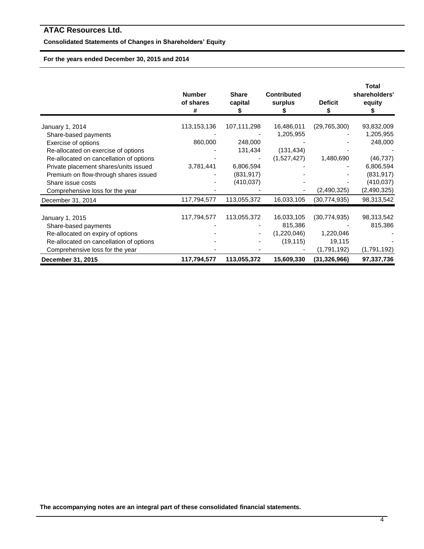## **Consolidated Statements of Changes in Shareholders' Equity**

## **For the years ended December 30, 2015 and 2014**

|                                         | <b>Number</b><br>of shares<br># | <b>Share</b><br>capital | <b>Contributed</b><br>surplus | <b>Deficit</b> | Total<br>shareholders'<br>equity |
|-----------------------------------------|---------------------------------|-------------------------|-------------------------------|----------------|----------------------------------|
| January 1, 2014                         | 113,153,136                     | 107,111,298             | 16,486,011                    | (29, 765, 300) | 93,832,009                       |
| Share-based payments                    |                                 |                         | 1,205,955                     |                | 1,205,955                        |
| Exercise of options                     | 860,000                         | 248,000                 |                               |                | 248,000                          |
| Re-allocated on exercise of options     |                                 | 131,434                 | (131, 434)                    |                |                                  |
| Re-allocated on cancellation of options |                                 |                         | (1,527,427)                   | 1,480,690      | (46, 737)                        |
| Private placement shares/units issued   | 3,781,441                       | 6,806,594               |                               |                | 6,806,594                        |
| Premium on flow-through shares issued   |                                 | (831, 917)              |                               |                | (831, 917)                       |
| Share issue costs                       |                                 | (410, 037)              |                               |                | (410, 037)                       |
| Comprehensive loss for the year         |                                 |                         |                               | (2,490,325)    | (2,490,325)                      |
| December 31, 2014                       | 117,794,577                     | 113,055,372             | 16,033,105                    | (30, 774, 935) | 98,313,542                       |
| January 1, 2015                         | 117,794,577                     | 113,055,372             | 16,033,105                    | (30, 774, 935) | 98,313,542                       |
| Share-based payments                    |                                 |                         | 815,386                       |                | 815,386                          |
| Re-allocated on expiry of options       |                                 |                         | (1,220,046)                   | 1,220,046      |                                  |
| Re-allocated on cancellation of options |                                 |                         | (19, 115)                     | 19,115         |                                  |
| Comprehensive loss for the year         |                                 |                         |                               | (1,791,192)    | (1,791,192)                      |
| December 31, 2015                       | 117,794,577                     | 113,055,372             | 15,609,330                    | (31, 326, 966) | 97,337,736                       |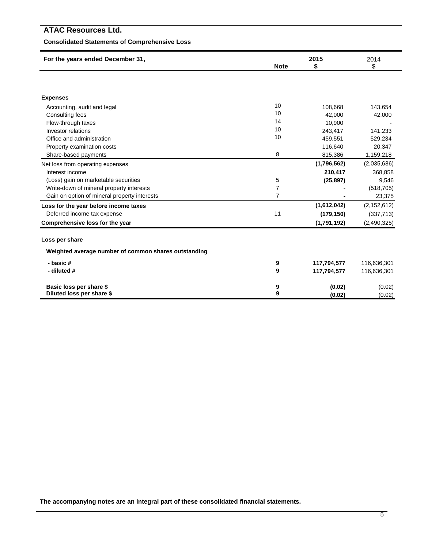## **Consolidated Statements of Comprehensive Loss**

| For the years ended December 31,                     |                | 2015        | 2014<br>\$    |  |
|------------------------------------------------------|----------------|-------------|---------------|--|
|                                                      | <b>Note</b>    | S           |               |  |
|                                                      |                |             |               |  |
|                                                      |                |             |               |  |
| <b>Expenses</b>                                      |                |             |               |  |
| Accounting, audit and legal                          | 10             | 108,668     | 143,654       |  |
| Consulting fees                                      | 10             | 42.000      | 42,000        |  |
| Flow-through taxes                                   | 14             | 10,900      |               |  |
| <b>Investor relations</b>                            | 10             | 243,417     | 141,233       |  |
| Office and administration                            | 10             | 459,551     | 529,234       |  |
| Property examination costs                           |                | 116,640     | 20,347        |  |
| Share-based payments                                 | 8              | 815,386     | 1,159,218     |  |
| Net loss from operating expenses                     |                | (1,796,562) | (2,035,686)   |  |
| Interest income                                      |                | 210,417     | 368,858       |  |
| (Loss) gain on marketable securities                 | 5              | (25, 897)   | 9,546         |  |
| Write-down of mineral property interests             | $\overline{7}$ |             | (518, 705)    |  |
| Gain on option of mineral property interests         | $\overline{7}$ |             | 23,375        |  |
| Loss for the year before income taxes                |                | (1,612,042) | (2, 152, 612) |  |
| Deferred income tax expense                          | 11             | (179, 150)  | (337, 713)    |  |
| Comprehensive loss for the year                      |                | (1,791,192) | (2,490,325)   |  |
| Loss per share                                       |                |             |               |  |
| Weighted average number of common shares outstanding |                |             |               |  |
| - basic #                                            | 9              | 117,794,577 | 116,636,301   |  |
| - diluted #                                          | 9              | 117,794,577 | 116,636,301   |  |
|                                                      |                |             |               |  |
| Basic loss per share \$                              | 9              | (0.02)      | (0.02)        |  |
| Diluted loss per share \$                            | 9              | (0.02)      | (0.02)        |  |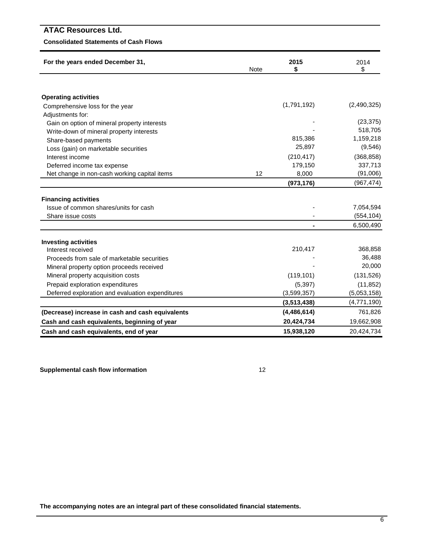## **Consolidated Statements of Cash Flows**

| For the years ended December 31,                                     | Note        | 2015<br>\$    | 2014<br>\$  |
|----------------------------------------------------------------------|-------------|---------------|-------------|
|                                                                      |             |               |             |
| <b>Operating activities</b>                                          |             |               |             |
| Comprehensive loss for the year                                      |             | (1,791,192)   | (2,490,325) |
| Adjustments for:                                                     |             |               |             |
| Gain on option of mineral property interests                         |             |               | (23, 375)   |
| Write-down of mineral property interests                             |             |               | 518,705     |
| Share-based payments                                                 |             | 815,386       | 1,159,218   |
| Loss (gain) on marketable securities                                 |             | 25,897        | (9, 546)    |
| Interest income                                                      |             | (210, 417)    | (368, 858)  |
| Deferred income tax expense                                          |             | 179,150       | 337,713     |
| Net change in non-cash working capital items                         | 12          | 8,000         | (91,006)    |
|                                                                      |             | (973, 176)    | (967, 474)  |
|                                                                      |             |               |             |
| <b>Financing activities</b><br>Issue of common shares/units for cash |             |               | 7,054,594   |
| Share issue costs                                                    |             |               |             |
|                                                                      |             |               | (554, 104)  |
|                                                                      |             |               | 6,500,490   |
| <b>Investing activities</b>                                          |             |               |             |
| Interest received                                                    |             | 210,417       | 368,858     |
| Proceeds from sale of marketable securities                          |             |               | 36,488      |
| Mineral property option proceeds received                            |             |               | 20,000      |
| Mineral property acquisition costs                                   |             | (119, 101)    | (131, 526)  |
| Prepaid exploration expenditures                                     |             | (5, 397)      | (11, 852)   |
| Deferred exploration and evaluation expenditures                     | (3,599,357) | (5,053,158)   |             |
|                                                                      |             | (3,513,438)   | (4,771,190) |
| (Decrease) increase in cash and cash equivalents                     |             | (4, 486, 614) | 761,826     |
| Cash and cash equivalents, beginning of year                         |             | 20,424,734    | 19,662,908  |
| Cash and cash equivalents, end of year                               |             | 15,938,120    | 20,424,734  |

**Supplemental cash flow information** 12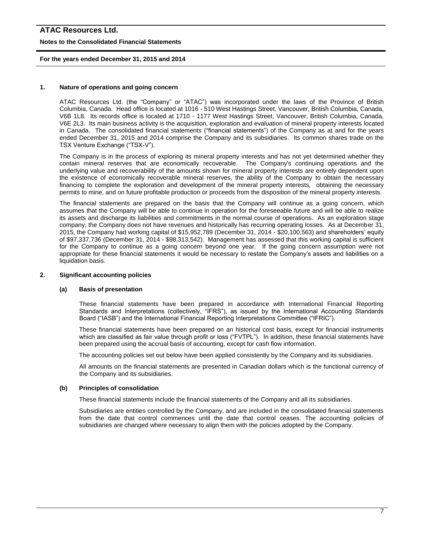#### **Notes to the Consolidated Financial Statements**

#### **For the years ended December 31, 2015 and 2014**

#### **1. Nature of operations and going concern**

ATAC Resources Ltd. (the "Company" or "ATAC") was incorporated under the laws of the Province of British Columbia, Canada. Head office is located at 1016 - 510 West Hastings Street, Vancouver, British Columbia, Canada, V6B 1L8. Its records office is located at 1710 - 1177 West Hastings Street, Vancouver, British Columbia, Canada, V6E 2L3. Its main business activity is the acquisition, exploration and evaluation of mineral property interests located in Canada. The consolidated financial statements ("financial statements") of the Company as at and for the years ended December 31, 2015 and 2014 comprise the Company and its subsidiaries. Its common shares trade on the TSX Venture Exchange ("TSX-V").

The Company is in the process of exploring its mineral property interests and has not yet determined whether they contain mineral reserves that are economically recoverable. The Company's continuing operations and the underlying value and recoverability of the amounts shown for mineral property interests are entirely dependent upon the existence of economically recoverable mineral reserves, the ability of the Company to obtain the necessary financing to complete the exploration and development of the mineral property interests, obtaining the necessary permits to mine, and on future profitable production or proceeds from the disposition of the mineral property interests.

The financial statements are prepared on the basis that the Company will continue as a going concern, which assumes that the Company will be able to continue in operation for the foreseeable future and will be able to realize its assets and discharge its liabilities and commitments in the normal course of operations. As an exploration stage company, the Company does not have revenues and historically has recurring operating losses. As at December 31, 2015, the Company had working capital of \$15,952,789 (December 31, 2014 - \$20,100,563) and shareholders' equity of \$97,337,736 (December 31, 2014 - \$98,313,542). Management has assessed that this working capital is sufficient for the Company to continue as a going concern beyond one year. If the going concern assumption were not appropriate for these financial statements it would be necessary to restate the Company's assets and liabilities on a liquidation basis.

#### **2. Significant accounting policies**

#### **(a) Basis of presentation**

These financial statements have been prepared in accordance with International Financial Reporting Standards and Interpretations (collectively, "IFRS"), as issued by the International Accounting Standards Board ("IASB") and the International Financial Reporting Interpretations Committee ("IFRIC").

These financial statements have been prepared on an historical cost basis, except for financial instruments which are classified as fair value through profit or loss ("FVTPL"). In addition, these financial statements have been prepared using the accrual basis of accounting, except for cash flow information.

The accounting policies set out below have been applied consistently by the Company and its subsidiaries.

All amounts on the financial statements are presented in Canadian dollars which is the functional currency of the Company and its subsidiaries.

#### **(b) Principles of consolidation**

These financial statements include the financial statements of the Company and all its subsidiaries.

Subsidiaries are entities controlled by the Company, and are included in the consolidated financial statements from the date that control commences until the date that control ceases. The accounting policies of subsidiaries are changed where necessary to align them with the policies adopted by the Company.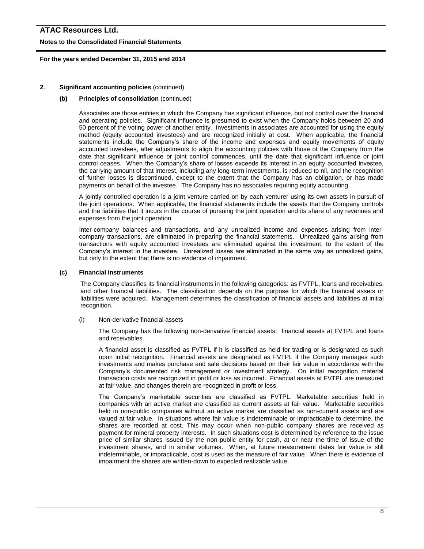#### **Notes to the Consolidated Financial Statements**

#### **For the years ended December 31, 2015 and 2014**

#### **2. Significant accounting policies** (continued)

#### **(b) Principles of consolidation** (continued)

Associates are those entities in which the Company has significant influence, but not control over the financial and operating policies. Significant influence is presumed to exist when the Company holds between 20 and 50 percent of the voting power of another entity. Investments in associates are accounted for using the equity method (equity accounted investees) and are recognized initially at cost. When applicable, the financial statements include the Company's share of the income and expenses and equity movements of equity accounted investees, after adjustments to align the accounting policies with those of the Company from the date that significant influence or joint control commences, until the date that significant influence or joint control ceases. When the Company's share of losses exceeds its interest in an equity accounted investee, the carrying amount of that interest, including any long-term investments, is reduced to nil, and the recognition of further losses is discontinued, except to the extent that the Company has an obligation, or has made payments on behalf of the investee. The Company has no associates requiring equity accounting.

A jointly controlled operation is a joint venture carried on by each venturer using its own assets in pursuit of the joint operations. When applicable, the financial statements include the assets that the Company controls and the liabilities that it incurs in the course of pursuing the joint operation and its share of any revenues and expenses from the joint operation.

Inter-company balances and transactions, and any unrealized income and expenses arising from intercompany transactions, are eliminated in preparing the financial statements. Unrealized gains arising from transactions with equity accounted investees are eliminated against the investment, to the extent of the Company's interest in the investee. Unrealized losses are eliminated in the same way as unrealized gains, but only to the extent that there is no evidence of impairment.

#### **(c) Financial instruments**

The Company classifies its financial instruments in the following categories: as FVTPL, loans and receivables, and other financial liabilities. The classification depends on the purpose for which the financial assets or liabilities were acquired. Management determines the classification of financial assets and liabilities at initial recognition.

(i) Non-derivative financial assets

The Company has the following non-derivative financial assets: financial assets at FVTPL and loans and receivables.

A financial asset is classified as FVTPL if it is classified as held for trading or is designated as such upon initial recognition. Financial assets are designated as FVTPL if the Company manages such investments and makes purchase and sale decisions based on their fair value in accordance with the Company's documented risk management or investment strategy. On initial recognition material transaction costs are recognized in profit or loss as incurred. Financial assets at FVTPL are measured at fair value, and changes therein are recognized in profit or loss.

The Company's marketable securities are classified as FVTPL. Marketable securities held in companies with an active market are classified as current assets at fair value. Marketable securities held in non-public companies without an active market are classified as non-current assets and are valued at fair value. In situations where fair value is indeterminable or impracticable to determine, the shares are recorded at cost. This may occur when non-public company shares are received as payment for mineral property interests. In such situations cost is determined by reference to the issue price of similar shares issued by the non-public entity for cash, at or near the time of issue of the investment shares, and in similar volumes. When, at future measurement dates fair value is still indeterminable, or impracticable, cost is used as the measure of fair value. When there is evidence of impairment the shares are written-down to expected realizable value.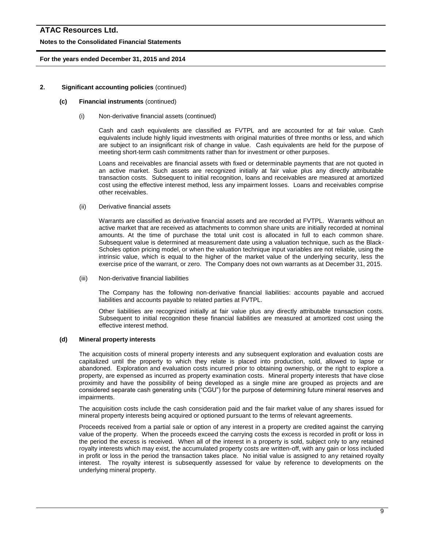#### **Notes to the Consolidated Financial Statements**

#### **For the years ended December 31, 2015 and 2014**

#### **2. Significant accounting policies** (continued)

#### **(c) Financial instruments** (continued)

(i) Non-derivative financial assets (continued)

Cash and cash equivalents are classified as FVTPL and are accounted for at fair value. Cash equivalents include highly liquid investments with original maturities of three months or less, and which are subject to an insignificant risk of change in value. Cash equivalents are held for the purpose of meeting short-term cash commitments rather than for investment or other purposes.

Loans and receivables are financial assets with fixed or determinable payments that are not quoted in an active market. Such assets are recognized initially at fair value plus any directly attributable transaction costs. Subsequent to initial recognition, loans and receivables are measured at amortized cost using the effective interest method, less any impairment losses. Loans and receivables comprise other receivables.

(ii) Derivative financial assets

Warrants are classified as derivative financial assets and are recorded at FVTPL. Warrants without an active market that are received as attachments to common share units are initially recorded at nominal amounts. At the time of purchase the total unit cost is allocated in full to each common share. Subsequent value is determined at measurement date using a valuation technique, such as the Black-Scholes option pricing model, or when the valuation technique input variables are not reliable, using the intrinsic value, which is equal to the higher of the market value of the underlying security, less the exercise price of the warrant, or zero. The Company does not own warrants as at December 31, 2015.

(iii) Non-derivative financial liabilities

The Company has the following non-derivative financial liabilities: accounts payable and accrued liabilities and accounts payable to related parties at FVTPL.

Other liabilities are recognized initially at fair value plus any directly attributable transaction costs. Subsequent to initial recognition these financial liabilities are measured at amortized cost using the effective interest method.

#### **(d) Mineral property interests**

The acquisition costs of mineral property interests and any subsequent exploration and evaluation costs are capitalized until the property to which they relate is placed into production, sold, allowed to lapse or abandoned. Exploration and evaluation costs incurred prior to obtaining ownership, or the right to explore a property, are expensed as incurred as property examination costs. Mineral property interests that have close proximity and have the possibility of being developed as a single mine are grouped as projects and are considered separate cash generating units ("CGU") for the purpose of determining future mineral reserves and impairments.

The acquisition costs include the cash consideration paid and the fair market value of any shares issued for mineral property interests being acquired or optioned pursuant to the terms of relevant agreements.

Proceeds received from a partial sale or option of any interest in a property are credited against the carrying value of the property. When the proceeds exceed the carrying costs the excess is recorded in profit or loss in the period the excess is received. When all of the interest in a property is sold, subject only to any retained royalty interests which may exist, the accumulated property costs are written-off, with any gain or loss included in profit or loss in the period the transaction takes place. No initial value is assigned to any retained royalty interest. The royalty interest is subsequently assessed for value by reference to developments on the underlying mineral property.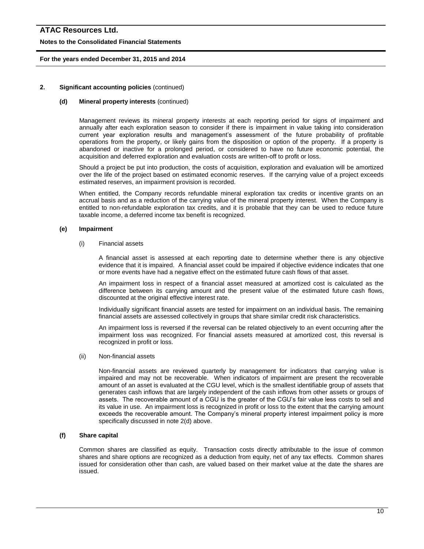#### **Notes to the Consolidated Financial Statements**

#### **For the years ended December 31, 2015 and 2014**

#### **2. Significant accounting policies** (continued)

#### **(d) Mineral property interests** (continued)

Management reviews its mineral property interests at each reporting period for signs of impairment and annually after each exploration season to consider if there is impairment in value taking into consideration current year exploration results and management's assessment of the future probability of profitable operations from the property, or likely gains from the disposition or option of the property. If a property is abandoned or inactive for a prolonged period, or considered to have no future economic potential, the acquisition and deferred exploration and evaluation costs are written-off to profit or loss.

Should a project be put into production, the costs of acquisition, exploration and evaluation will be amortized over the life of the project based on estimated economic reserves. If the carrying value of a project exceeds estimated reserves, an impairment provision is recorded.

When entitled, the Company records refundable mineral exploration tax credits or incentive grants on an accrual basis and as a reduction of the carrying value of the mineral property interest. When the Company is entitled to non-refundable exploration tax credits, and it is probable that they can be used to reduce future taxable income, a deferred income tax benefit is recognized.

#### **(e) Impairment**

#### (i) Financial assets

A financial asset is assessed at each reporting date to determine whether there is any objective evidence that it is impaired. A financial asset could be impaired if objective evidence indicates that one or more events have had a negative effect on the estimated future cash flows of that asset.

An impairment loss in respect of a financial asset measured at amortized cost is calculated as the difference between its carrying amount and the present value of the estimated future cash flows, discounted at the original effective interest rate.

Individually significant financial assets are tested for impairment on an individual basis. The remaining financial assets are assessed collectively in groups that share similar credit risk characteristics.

An impairment loss is reversed if the reversal can be related objectively to an event occurring after the impairment loss was recognized. For financial assets measured at amortized cost, this reversal is recognized in profit or loss.

(ii) Non-financial assets

Non-financial assets are reviewed quarterly by management for indicators that carrying value is impaired and may not be recoverable. When indicators of impairment are present the recoverable amount of an asset is evaluated at the CGU level, which is the smallest identifiable group of assets that generates cash inflows that are largely independent of the cash inflows from other assets or groups of assets. The recoverable amount of a CGU is the greater of the CGU's fair value less costs to sell and its value in use. An impairment loss is recognized in profit or loss to the extent that the carrying amount exceeds the recoverable amount. The Company's mineral property interest impairment policy is more specifically discussed in note 2(d) above.

#### **(f) Share capital**

Common shares are classified as equity. Transaction costs directly attributable to the issue of common shares and share options are recognized as a deduction from equity, net of any tax effects. Common shares issued for consideration other than cash, are valued based on their market value at the date the shares are issued.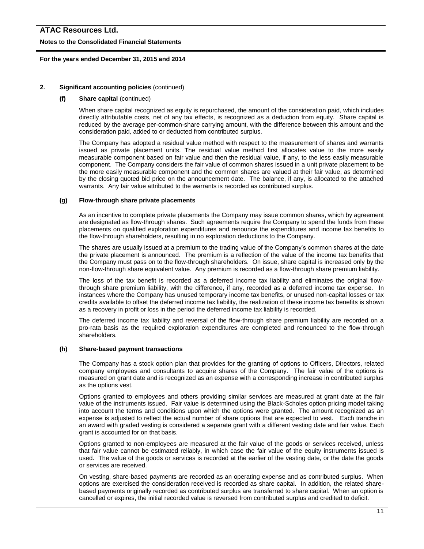#### **Notes to the Consolidated Financial Statements**

#### **For the years ended December 31, 2015 and 2014**

#### **2. Significant accounting policies** (continued)

#### **(f) Share capital** (continued)

When share capital recognized as equity is repurchased, the amount of the consideration paid, which includes directly attributable costs, net of any tax effects, is recognized as a deduction from equity. Share capital is reduced by the average per-common-share carrying amount, with the difference between this amount and the consideration paid, added to or deducted from contributed surplus.

The Company has adopted a residual value method with respect to the measurement of shares and warrants issued as private placement units. The residual value method first allocates value to the more easily measurable component based on fair value and then the residual value, if any, to the less easily measurable component. The Company considers the fair value of common shares issued in a unit private placement to be the more easily measurable component and the common shares are valued at their fair value, as determined by the closing quoted bid price on the announcement date. The balance, if any, is allocated to the attached warrants. Any fair value attributed to the warrants is recorded as contributed surplus.

#### **(g) Flow-through share private placements**

As an incentive to complete private placements the Company may issue common shares, which by agreement are designated as flow-through shares. Such agreements require the Company to spend the funds from these placements on qualified exploration expenditures and renounce the expenditures and income tax benefits to the flow-through shareholders, resulting in no exploration deductions to the Company.

The shares are usually issued at a premium to the trading value of the Company's common shares at the date the private placement is announced. The premium is a reflection of the value of the income tax benefits that the Company must pass on to the flow-through shareholders. On issue, share capital is increased only by the non-flow-through share equivalent value. Any premium is recorded as a flow-through share premium liability.

The loss of the tax benefit is recorded as a deferred income tax liability and eliminates the original flowthrough share premium liability, with the difference, if any, recorded as a deferred income tax expense. In instances where the Company has unused temporary income tax benefits, or unused non-capital losses or tax credits available to offset the deferred income tax liability, the realization of these income tax benefits is shown as a recovery in profit or loss in the period the deferred income tax liability is recorded.

The deferred income tax liability and reversal of the flow-through share premium liability are recorded on a pro-rata basis as the required exploration expenditures are completed and renounced to the flow-through shareholders.

#### **(h) Share-based payment transactions**

The Company has a stock option plan that provides for the granting of options to Officers, Directors, related company employees and consultants to acquire shares of the Company. The fair value of the options is measured on grant date and is recognized as an expense with a corresponding increase in contributed surplus as the options vest.

Options granted to employees and others providing similar services are measured at grant date at the fair value of the instruments issued. Fair value is determined using the Black-Scholes option pricing model taking into account the terms and conditions upon which the options were granted. The amount recognized as an expense is adjusted to reflect the actual number of share options that are expected to vest. Each tranche in an award with graded vesting is considered a separate grant with a different vesting date and fair value. Each grant is accounted for on that basis.

Options granted to non-employees are measured at the fair value of the goods or services received, unless that fair value cannot be estimated reliably, in which case the fair value of the equity instruments issued is used. The value of the goods or services is recorded at the earlier of the vesting date, or the date the goods or services are received.

On vesting, share-based payments are recorded as an operating expense and as contributed surplus. When options are exercised the consideration received is recorded as share capital. In addition, the related sharebased payments originally recorded as contributed surplus are transferred to share capital. When an option is cancelled or expires, the initial recorded value is reversed from contributed surplus and credited to deficit.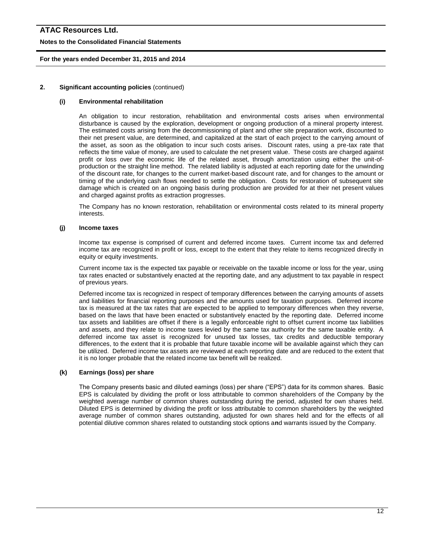#### **Notes to the Consolidated Financial Statements**

#### **For the years ended December 31, 2015 and 2014**

#### **2. Significant accounting policies** (continued)

#### **(i) Environmental rehabilitation**

An obligation to incur restoration, rehabilitation and environmental costs arises when environmental disturbance is caused by the exploration, development or ongoing production of a mineral property interest. The estimated costs arising from the decommissioning of plant and other site preparation work, discounted to their net present value, are determined, and capitalized at the start of each project to the carrying amount of the asset, as soon as the obligation to incur such costs arises. Discount rates, using a pre-tax rate that reflects the time value of money, are used to calculate the net present value. These costs are charged against profit or loss over the economic life of the related asset, through amortization using either the unit-ofproduction or the straight line method. The related liability is adjusted at each reporting date for the unwinding of the discount rate, for changes to the current market-based discount rate, and for changes to the amount or timing of the underlying cash flows needed to settle the obligation. Costs for restoration of subsequent site damage which is created on an ongoing basis during production are provided for at their net present values and charged against profits as extraction progresses.

The Company has no known restoration, rehabilitation or environmental costs related to its mineral property interests.

#### **(j) Income taxes**

Income tax expense is comprised of current and deferred income taxes. Current income tax and deferred income tax are recognized in profit or loss, except to the extent that they relate to items recognized directly in equity or equity investments.

Current income tax is the expected tax payable or receivable on the taxable income or loss for the year, using tax rates enacted or substantively enacted at the reporting date, and any adjustment to tax payable in respect of previous years.

Deferred income tax is recognized in respect of temporary differences between the carrying amounts of assets and liabilities for financial reporting purposes and the amounts used for taxation purposes. Deferred income tax is measured at the tax rates that are expected to be applied to temporary differences when they reverse, based on the laws that have been enacted or substantively enacted by the reporting date. Deferred income tax assets and liabilities are offset if there is a legally enforceable right to offset current income tax liabilities and assets, and they relate to income taxes levied by the same tax authority for the same taxable entity. A deferred income tax asset is recognized for unused tax losses, tax credits and deductible temporary differences, to the extent that it is probable that future taxable income will be available against which they can be utilized. Deferred income tax assets are reviewed at each reporting date and are reduced to the extent that it is no longer probable that the related income tax benefit will be realized.

#### **(k) Earnings (loss) per share**

The Company presents basic and diluted earnings (loss) per share ("EPS") data for its common shares. Basic EPS is calculated by dividing the profit or loss attributable to common shareholders of the Company by the weighted average number of common shares outstanding during the period, adjusted for own shares held. Diluted EPS is determined by dividing the profit or loss attributable to common shareholders by the weighted average number of common shares outstanding, adjusted for own shares held and for the effects of all potential dilutive common shares related to outstanding stock options a**n**d warrants issued by the Company.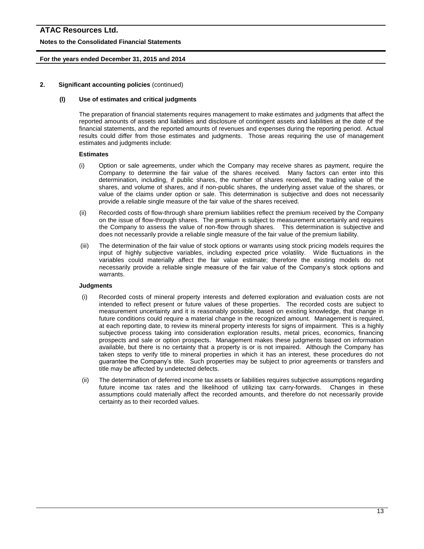#### **Notes to the Consolidated Financial Statements**

#### **For the years ended December 31, 2015 and 2014**

#### **2. Significant accounting policies** (continued)

#### **(l) Use of estimates and critical judgments**

The preparation of financial statements requires management to make estimates and judgments that affect the reported amounts of assets and liabilities and disclosure of contingent assets and liabilities at the date of the financial statements, and the reported amounts of revenues and expenses during the reporting period. Actual results could differ from those estimates and judgments. Those areas requiring the use of management estimates and judgments include:

#### **Estimates**

- (i) Option or sale agreements, under which the Company may receive shares as payment, require the Company to determine the fair value of the shares received. Many factors can enter into this determination, including, if public shares, the number of shares received, the trading value of the shares, and volume of shares, and if non-public shares, the underlying asset value of the shares, or value of the claims under option or sale. This determination is subjective and does not necessarily provide a reliable single measure of the fair value of the shares received.
- (ii) Recorded costs of flow-through share premium liabilities reflect the premium received by the Company on the issue of flow-through shares. The premium is subject to measurement uncertainly and requires the Company to assess the value of non-flow through shares. This determination is subjective and does not necessarily provide a reliable single measure of the fair value of the premium liability.
- (iii) The determination of the fair value of stock options or warrants using stock pricing models requires the input of highly subjective variables, including expected price volatility. Wide fluctuations in the variables could materially affect the fair value estimate; therefore the existing models do not necessarily provide a reliable single measure of the fair value of the Company's stock options and warrants.

#### **Judgments**

- (i) Recorded costs of mineral property interests and deferred exploration and evaluation costs are not intended to reflect present or future values of these properties. The recorded costs are subject to measurement uncertainty and it is reasonably possible, based on existing knowledge, that change in future conditions could require a material change in the recognized amount. Management is required, at each reporting date, to review its mineral property interests for signs of impairment. This is a highly subjective process taking into consideration exploration results, metal prices, economics, financing prospects and sale or option prospects. Management makes these judgments based on information available, but there is no certainty that a property is or is not impaired. Although the Company has taken steps to verify title to mineral properties in which it has an interest, these procedures do not guarantee the Company's title. Such properties may be subject to prior agreements or transfers and title may be affected by undetected defects.
- (ii) The determination of deferred income tax assets or liabilities requires subjective assumptions regarding future income tax rates and the likelihood of utilizing tax carry-forwards. Changes in these assumptions could materially affect the recorded amounts, and therefore do not necessarily provide certainty as to their recorded values.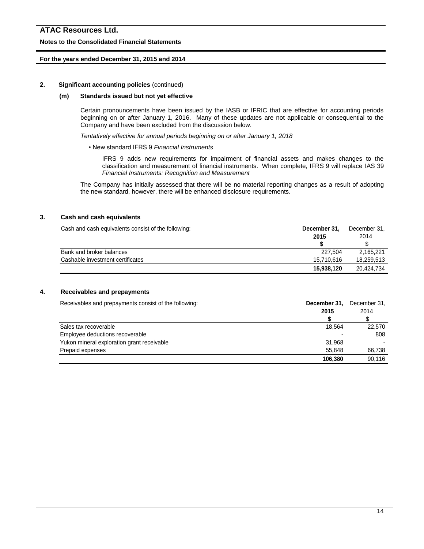#### **Notes to the Consolidated Financial Statements**

#### **For the years ended December 31, 2015 and 2014**

#### **2. Significant accounting policies** (continued)

#### **(m) Standards issued but not yet effective**

Certain pronouncements have been issued by the IASB or IFRIC that are effective for accounting periods beginning on or after January 1, 2016. Many of these updates are not applicable or consequential to the Company and have been excluded from the discussion below.

*Tentatively effective for annual periods beginning on or after January 1, 2018*

• New standard IFRS 9 *Financial Instruments*

IFRS 9 adds new requirements for impairment of financial assets and makes changes to the classification and measurement of financial instruments. When complete, IFRS 9 will replace IAS 39 *Financial Instruments: Recognition and Measurement*

The Company has initially assessed that there will be no material reporting changes as a result of adopting the new standard, however, there will be enhanced disclosure requirements.

#### **3. Cash and cash equivalents**

| Cash and cash equivalents consist of the following: | December 31. | December 31. |  |
|-----------------------------------------------------|--------------|--------------|--|
|                                                     | 2015         | 2014         |  |
|                                                     |              |              |  |
| Bank and broker balances                            | 227.504      | 2.165.221    |  |
| Cashable investment certificates                    | 15.710.616   | 18.259.513   |  |
|                                                     | 15,938,120   | 20.424.734   |  |

#### **4. Receivables and prepayments**

Receivables and prepayments consist of the following: **December 31, December 31, December 31,** 

|                                            | 2015    | 2014   |
|--------------------------------------------|---------|--------|
|                                            |         |        |
| Sales tax recoverable                      | 18.564  | 22,570 |
| Employee deductions recoverable            |         | 808    |
| Yukon mineral exploration grant receivable | 31.968  |        |
| Prepaid expenses                           | 55.848  | 66.738 |
|                                            | 106,380 | 90.116 |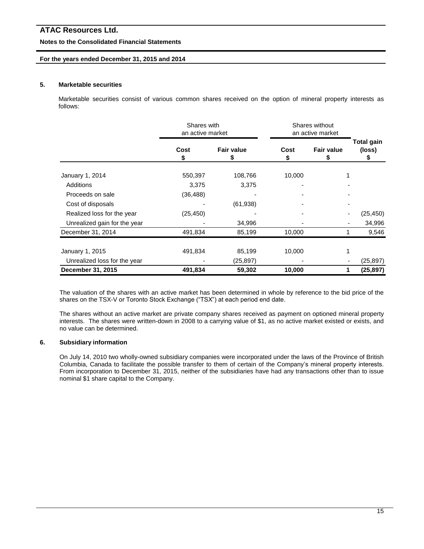#### **Notes to the Consolidated Financial Statements**

#### **For the years ended December 31, 2015 and 2014**

#### **5. Marketable securities**

Marketable securities consist of various common shares received on the option of mineral property interests as follows:

|                              | Shares with<br>an active market |                   | Shares without<br>an active market |                        |                           |  |
|------------------------------|---------------------------------|-------------------|------------------------------------|------------------------|---------------------------|--|
|                              | Cost<br>\$                      | <b>Fair value</b> | Cost<br>\$                         | <b>Fair value</b><br>5 | Total gain<br>(loss)<br>5 |  |
| January 1, 2014              | 550,397                         | 108,766           | 10,000                             |                        |                           |  |
| Additions                    | 3,375                           | 3,375             |                                    |                        |                           |  |
| Proceeds on sale             | (36, 488)                       |                   |                                    |                        |                           |  |
| Cost of disposals            |                                 | (61, 938)         |                                    |                        |                           |  |
| Realized loss for the year   | (25, 450)                       |                   |                                    |                        | (25, 450)                 |  |
| Unrealized gain for the year |                                 | 34,996            |                                    |                        | 34,996                    |  |
| December 31, 2014            | 491,834                         | 85,199            | 10,000                             |                        | 9,546                     |  |
| January 1, 2015              | 491,834                         | 85,199            | 10,000                             |                        |                           |  |
| Unrealized loss for the year |                                 | (25,897)          |                                    |                        | (25, 897)                 |  |
| December 31, 2015            | 491,834                         | 59,302            | 10,000                             |                        | (25, 897)<br>1            |  |

The valuation of the shares with an active market has been determined in whole by reference to the bid price of the shares on the TSX-V or Toronto Stock Exchange ("TSX") at each period end date.

The shares without an active market are private company shares received as payment on optioned mineral property interests. The shares were written-down in 2008 to a carrying value of \$1, as no active market existed or exists, and no value can be determined.

#### **6. Subsidiary information**

On July 14, 2010 two wholly-owned subsidiary companies were incorporated under the laws of the Province of British Columbia, Canada to facilitate the possible transfer to them of certain of the Company's mineral property interests. From incorporation to December 31, 2015, neither of the subsidiaries have had any transactions other than to issue nominal \$1 share capital to the Company.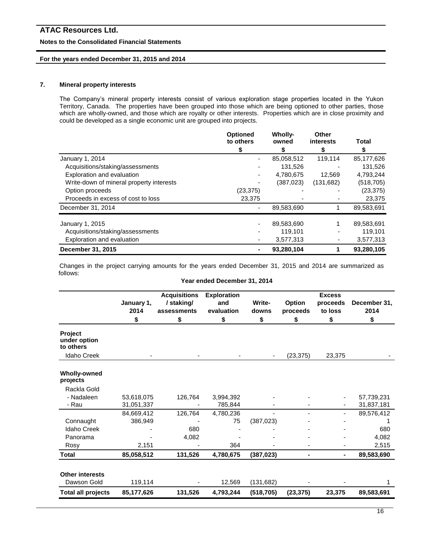#### **Notes to the Consolidated Financial Statements**

#### **For the years ended December 31, 2015 and 2014**

#### **7. Mineral property interests**

The Company's mineral property interests consist of various exploration stage properties located in the Yukon Territory, Canada. The properties have been grouped into those which are being optioned to other parties, those which are wholly-owned, and those which are royalty or other interests. Properties which are in close proximity and could be developed as a single economic unit are grouped into projects.

|                                          | <b>Optioned</b><br>to others | Wholly-<br>owned | Other<br>interests | Total      |
|------------------------------------------|------------------------------|------------------|--------------------|------------|
|                                          |                              |                  |                    |            |
| January 1, 2014                          |                              | 85,058,512       | 119,114            | 85,177,626 |
| Acquisitions/staking/assessments         |                              | 131,526          |                    | 131,526    |
| Exploration and evaluation               |                              | 4,780,675        | 12.569             | 4,793,244  |
| Write-down of mineral property interests |                              | (387, 023)       | (131,682)          | (518, 705) |
| Option proceeds                          | (23, 375)                    |                  |                    | (23, 375)  |
| Proceeds in excess of cost to loss       | 23,375                       |                  |                    | 23,375     |
| December 31, 2014                        |                              | 89,583,690       |                    | 89,583,691 |
| January 1, 2015                          |                              | 89,583,690       |                    | 89,583,691 |
| Acquisitions/staking/assessments         |                              | 119,101          |                    | 119,101    |
| Exploration and evaluation               |                              | 3,577,313        |                    | 3,577,313  |
| December 31, 2015                        |                              | 93,280,104       |                    | 93,280,105 |

Changes in the project carrying amounts for the years ended December 31, 2015 and 2014 are summarized as follows:

**Year ended December 31, 2014**

|                                             |                    | <b>Acquisitions</b>      | <b>Exploration</b> |                 |                           | <b>Excess</b>       |                      |
|---------------------------------------------|--------------------|--------------------------|--------------------|-----------------|---------------------------|---------------------|----------------------|
|                                             | January 1,<br>2014 | /staking/<br>assessments | and<br>evaluation  | Write-<br>downs | <b>Option</b><br>proceeds | proceeds<br>to loss | December 31,<br>2014 |
|                                             | \$                 | \$                       | \$                 | \$              | \$                        | \$                  | \$                   |
| <b>Project</b><br>under option<br>to others |                    |                          |                    |                 |                           |                     |                      |
| <b>Idaho Creek</b>                          |                    |                          |                    |                 | (23, 375)                 | 23,375              |                      |
| <b>Wholly-owned</b><br>projects             |                    |                          |                    |                 |                           |                     |                      |
| Rackla Gold                                 |                    |                          |                    |                 |                           |                     |                      |
| - Nadaleen                                  | 53,618,075         | 126,764                  | 3,994,392          |                 |                           |                     | 57,739,231           |
| - Rau                                       | 31,051,337         |                          | 785,844            |                 |                           |                     | 31,837,181           |
|                                             | 84,669,412         | 126,764                  | 4,780,236          |                 |                           |                     | 89,576,412           |
| Connaught                                   | 386,949            |                          | 75                 | (387, 023)      |                           |                     |                      |
| <b>Idaho Creek</b>                          |                    | 680                      |                    |                 |                           |                     | 680                  |
| Panorama                                    |                    | 4,082                    |                    |                 |                           |                     | 4,082                |
| Rosy                                        | 2,151              |                          | 364                |                 |                           |                     | 2,515                |
| <b>Total</b>                                | 85,058,512         | 131,526                  | 4,780,675          | (387, 023)      |                           | ٠.                  | 89,583,690           |
| <b>Other interests</b><br>Dawson Gold       | 119,114            |                          | 12,569             | (131, 682)      |                           |                     |                      |
| <b>Total all projects</b>                   | 85,177,626         | 131,526                  | 4,793,244          | (518, 705)      | (23, 375)                 | 23,375              | 89,583,691           |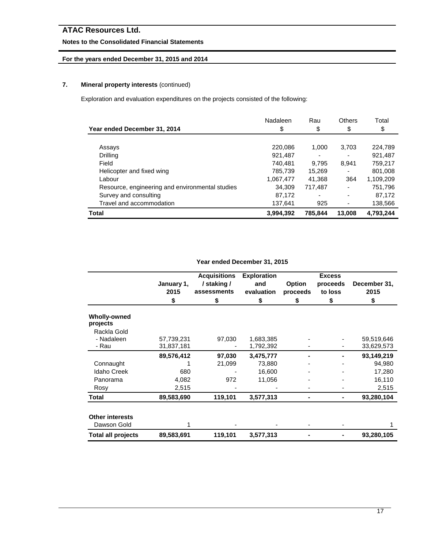## **Notes to the Consolidated Financial Statements**

## **For the years ended December 31, 2015 and 2014**

## **7. Mineral property interests** (continued)

Exploration and evaluation expenditures on the projects consisted of the following:

| Year ended December 31, 2014                    | Nadaleen<br>\$ | Rau<br>\$ | Others<br>\$             | Total<br>\$ |
|-------------------------------------------------|----------------|-----------|--------------------------|-------------|
|                                                 |                |           |                          |             |
| Assays                                          | 220,086        | 1.000     | 3.703                    | 224.789     |
| Drilling                                        | 921.487        |           |                          | 921,487     |
| Field                                           | 740.481        | 9.795     | 8.941                    | 759,217     |
| Helicopter and fixed wing                       | 785.739        | 15.269    | $\overline{\phantom{0}}$ | 801.008     |
| Labour                                          | 1,067,477      | 41,368    | 364                      | 1,109,209   |
| Resource, engineering and environmental studies | 34.309         | 717,487   |                          | 751,796     |
| Survey and consulting                           | 87,172         |           |                          | 87,172      |
| Travel and accommodation                        | 137,641        | 925       |                          | 138,566     |
| <b>Total</b>                                    | 3,994,392      | 785.844   | 13,008                   | 4,793,244   |

**Year ended December 31, 2015**

|                                       | January 1,<br>2015 | <b>Acquisitions</b><br>/ staking /<br>assessments | <b>Exploration</b><br>and<br>evaluation | Option<br>proceeds | <b>Excess</b><br>proceeds<br>to loss | December 31,<br>2015 |
|---------------------------------------|--------------------|---------------------------------------------------|-----------------------------------------|--------------------|--------------------------------------|----------------------|
|                                       | \$                 | S                                                 | \$                                      | S                  | \$                                   | \$                   |
| Wholly-owned<br>projects              |                    |                                                   |                                         |                    |                                      |                      |
| Rackla Gold                           |                    |                                                   |                                         |                    |                                      |                      |
| - Nadaleen                            | 57,739,231         | 97,030                                            | 1,683,385                               |                    |                                      | 59,519,646           |
| - Rau                                 | 31,837,181         |                                                   | 1,792,392                               |                    |                                      | 33,629,573           |
|                                       | 89,576,412         | 97,030                                            | 3,475,777                               |                    |                                      | 93,149,219           |
| Connaught                             |                    | 21,099                                            | 73,880                                  |                    |                                      | 94,980               |
| <b>Idaho Creek</b>                    | 680                |                                                   | 16,600                                  |                    |                                      | 17,280               |
| Panorama                              | 4,082              | 972                                               | 11,056                                  |                    |                                      | 16,110               |
| Rosy                                  | 2,515              |                                                   |                                         |                    |                                      | 2,515                |
| Total                                 | 89,583,690         | 119,101                                           | 3,577,313                               |                    |                                      | 93,280,104           |
| <b>Other interests</b><br>Dawson Gold |                    |                                                   |                                         |                    |                                      |                      |
| <b>Total all projects</b>             | 89,583,691         | 119,101                                           | 3,577,313                               |                    |                                      | 93,280,105           |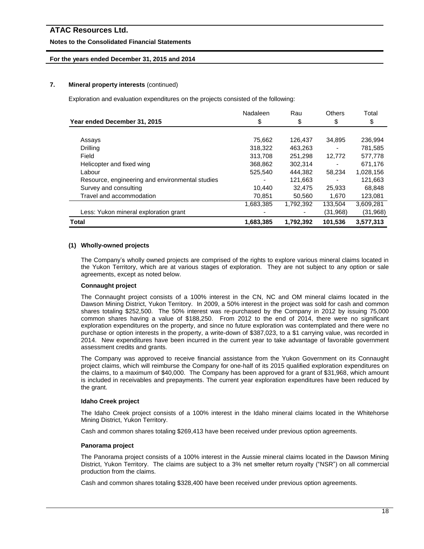#### **Notes to the Consolidated Financial Statements**

#### **For the years ended December 31, 2015 and 2014**

#### **7. Mineral property interests** (continued)

Exploration and evaluation expenditures on the projects consisted of the following:

|                                                 | Nadaleen  | Rau       | <b>Others</b> | Total     |
|-------------------------------------------------|-----------|-----------|---------------|-----------|
| Year ended December 31, 2015                    | \$        | \$        | \$            | \$        |
|                                                 |           |           |               |           |
| Assays                                          | 75,662    | 126.437   | 34.895        | 236.994   |
| Drilling                                        | 318,322   | 463,263   |               | 781,585   |
| Field                                           | 313,708   | 251.298   | 12,772        | 577,778   |
| Helicopter and fixed wing                       | 368,862   | 302.314   |               | 671,176   |
| Labour                                          | 525,540   | 444,382   | 58,234        | 1,028,156 |
| Resource, engineering and environmental studies |           | 121,663   |               | 121,663   |
| Survey and consulting                           | 10,440    | 32,475    | 25,933        | 68,848    |
| Travel and accommodation                        | 70,851    | 50,560    | 1.670         | 123,081   |
|                                                 | 1,683,385 | 1,792,392 | 133,504       | 3,609,281 |
| Less: Yukon mineral exploration grant           |           |           | (31,968)      | (31,968)  |
| Total                                           | 1,683,385 | 1,792,392 | 101,536       | 3,577,313 |

#### **(1) Wholly-owned projects**

The Company's wholly owned projects are comprised of the rights to explore various mineral claims located in the Yukon Territory, which are at various stages of exploration. They are not subject to any option or sale agreements, except as noted below.

#### **Connaught project**

The Connaught project consists of a 100% interest in the CN, NC and OM mineral claims located in the Dawson Mining District, Yukon Territory. In 2009, a 50% interest in the project was sold for cash and common shares totaling \$252,500. The 50% interest was re-purchased by the Company in 2012 by issuing 75,000 common shares having a value of \$188,250. From 2012 to the end of 2014, there were no significant exploration expenditures on the property, and since no future exploration was contemplated and there were no purchase or option interests in the property, a write-down of \$387,023, to a \$1 carrying value, was recorded in 2014. New expenditures have been incurred in the current year to take advantage of favorable government assessment credits and grants.

The Company was approved to receive financial assistance from the Yukon Government on its Connaught project claims, which will reimburse the Company for one-half of its 2015 qualified exploration expenditures on the claims, to a maximum of \$40,000. The Company has been approved for a grant of \$31,968, which amount is included in receivables and prepayments. The current year exploration expenditures have been reduced by the grant.

#### **Idaho Creek project**

The Idaho Creek project consists of a 100% interest in the Idaho mineral claims located in the Whitehorse Mining District, Yukon Territory.

Cash and common shares totaling \$269,413 have been received under previous option agreements.

#### **Panorama project**

The Panorama project consists of a 100% interest in the Aussie mineral claims located in the Dawson Mining District, Yukon Territory. The claims are subject to a 3% net smelter return royalty ("NSR") on all commercial production from the claims.

Cash and common shares totaling \$328,400 have been received under previous option agreements.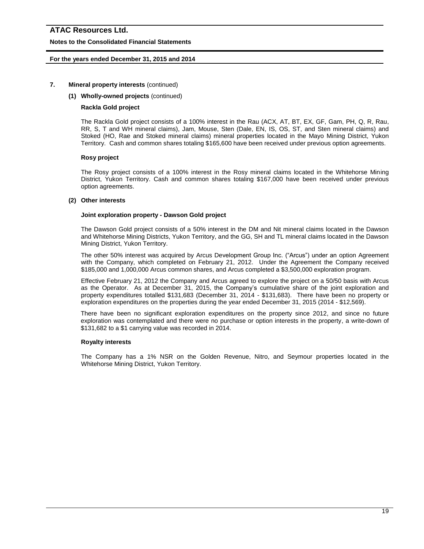#### **Notes to the Consolidated Financial Statements**

#### **For the years ended December 31, 2015 and 2014**

#### **7. Mineral property interests** (continued)

#### **(1) Wholly-owned projects** (continued)

#### **Rackla Gold project**

The Rackla Gold project consists of a 100% interest in the Rau (ACX, AT, BT, EX, GF, Gam, PH, Q, R, Rau, RR, S, T and WH mineral claims), Jam, Mouse, Sten (Dale, EN, IS, OS, ST, and Sten mineral claims) and Stoked (HO, Rae and Stoked mineral claims) mineral properties located in the Mayo Mining District, Yukon Territory. Cash and common shares totaling \$165,600 have been received under previous option agreements.

#### **Rosy project**

The Rosy project consists of a 100% interest in the Rosy mineral claims located in the Whitehorse Mining District, Yukon Territory. Cash and common shares totaling \$167,000 have been received under previous option agreements.

#### **(2) Other interests**

#### **Joint exploration property - Dawson Gold project**

The Dawson Gold project consists of a 50% interest in the DM and Nit mineral claims located in the Dawson and Whitehorse Mining Districts, Yukon Territory, and the GG, SH and TL mineral claims located in the Dawson Mining District, Yukon Territory.

The other 50% interest was acquired by Arcus Development Group Inc. ("Arcus") under an option Agreement with the Company, which completed on February 21, 2012. Under the Agreement the Company received \$185,000 and 1,000,000 Arcus common shares, and Arcus completed a \$3,500,000 exploration program.

Effective February 21, 2012 the Company and Arcus agreed to explore the project on a 50/50 basis with Arcus as the Operator. As at December 31, 2015, the Company's cumulative share of the joint exploration and property expenditures totalled \$131,683 (December 31, 2014 - \$131,683). There have been no property or exploration expenditures on the properties during the year ended December 31, 2015 (2014 - \$12,569).

There have been no significant exploration expenditures on the property since 2012, and since no future exploration was contemplated and there were no purchase or option interests in the property, a write-down of \$131,682 to a \$1 carrying value was recorded in 2014.

#### **Royalty interests**

The Company has a 1% NSR on the Golden Revenue, Nitro, and Seymour properties located in the Whitehorse Mining District, Yukon Territory.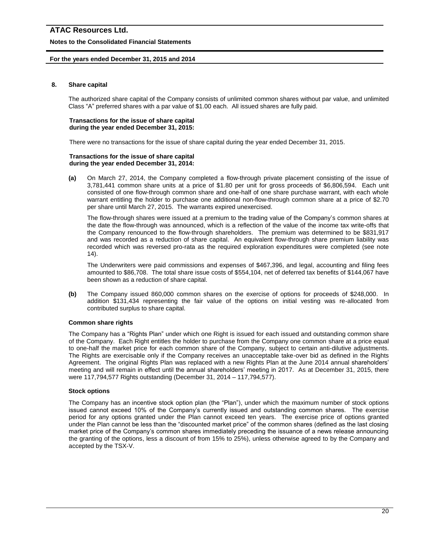#### **Notes to the Consolidated Financial Statements**

#### **For the years ended December 31, 2015 and 2014**

#### **8. Share capital**

The authorized share capital of the Company consists of unlimited common shares without par value, and unlimited Class "A" preferred shares with a par value of \$1.00 each. All issued shares are fully paid.

#### **Transactions for the issue of share capital during the year ended December 31, 2015:**

There were no transactions for the issue of share capital during the year ended December 31, 2015.

#### **Transactions for the issue of share capital during the year ended December 31, 2014:**

**(a)** On March 27, 2014, the Company completed a flow-through private placement consisting of the issue of 3,781,441 common share units at a price of \$1.80 per unit for gross proceeds of \$6,806,594. Each unit consisted of one flow-through common share and one-half of one share purchase warrant, with each whole warrant entitling the holder to purchase one additional non-flow-through common share at a price of \$2.70 per share until March 27, 2015. The warrants expired unexercised.

The flow-through shares were issued at a premium to the trading value of the Company's common shares at the date the flow-through was announced, which is a reflection of the value of the income tax write-offs that the Company renounced to the flow-through shareholders. The premium was determined to be \$831,917 and was recorded as a reduction of share capital. An equivalent flow-through share premium liability was recorded which was reversed pro-rata as the required exploration expenditures were completed (see note 14).

The Underwriters were paid commissions and expenses of \$467,396, and legal, accounting and filing fees amounted to \$86,708. The total share issue costs of \$554,104, net of deferred tax benefits of \$144,067 have been shown as a reduction of share capital.

**(b)** The Company issued 860,000 common shares on the exercise of options for proceeds of \$248,000. In addition \$131,434 representing the fair value of the options on initial vesting was re-allocated from contributed surplus to share capital.

#### **Common share rights**

The Company has a "Rights Plan" under which one Right is issued for each issued and outstanding common share of the Company. Each Right entitles the holder to purchase from the Company one common share at a price equal to one-half the market price for each common share of the Company, subject to certain anti-dilutive adjustments. The Rights are exercisable only if the Company receives an unacceptable take-over bid as defined in the Rights Agreement. The original Rights Plan was replaced with a new Rights Plan at the June 2014 annual shareholders' meeting and will remain in effect until the annual shareholders' meeting in 2017. As at December 31, 2015, there were 117,794,577 Rights outstanding (December 31, 2014 – 117,794,577).

#### **Stock options**

The Company has an incentive stock option plan (the "Plan"), under which the maximum number of stock options issued cannot exceed 10% of the Company's currently issued and outstanding common shares. The exercise period for any options granted under the Plan cannot exceed ten years. The exercise price of options granted under the Plan cannot be less than the "discounted market price" of the common shares (defined as the last closing market price of the Company's common shares immediately preceding the issuance of a news release announcing the granting of the options, less a discount of from 15% to 25%), unless otherwise agreed to by the Company and accepted by the TSX-V.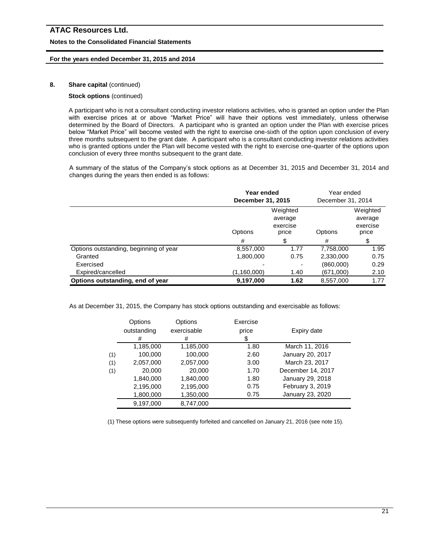#### **Notes to the Consolidated Financial Statements**

#### **For the years ended December 31, 2015 and 2014**

#### **8. Share capital** (continued)

#### **Stock options** (continued)

A participant who is not a consultant conducting investor relations activities, who is granted an option under the Plan with exercise prices at or above "Market Price" will have their options vest immediately, unless otherwise determined by the Board of Directors. A participant who is granted an option under the Plan with exercise prices below "Market Price" will become vested with the right to exercise one-sixth of the option upon conclusion of every three months subsequent to the grant date. A participant who is a consultant conducting investor relations activities who is granted options under the Plan will become vested with the right to exercise one-quarter of the options upon conclusion of every three months subsequent to the grant date.

A summary of the status of the Company's stock options as at December 31, 2015 and December 31, 2014 and changes during the years then ended is as follows:

|                                        | Year ended<br>December 31, 2015 |                                          | Year ended<br>December 31, 2014 |                                          |
|----------------------------------------|---------------------------------|------------------------------------------|---------------------------------|------------------------------------------|
|                                        | Options                         | Weighted<br>average<br>exercise<br>price | Options                         | Weighted<br>average<br>exercise<br>price |
|                                        | #                               |                                          | #                               |                                          |
| Options outstanding, beginning of year | 8,557,000                       | 1.77                                     | 7,758,000                       | 1.95                                     |
| Granted                                | 1,800,000                       | 0.75                                     | 2,330,000                       | 0.75                                     |
| Exercised                              |                                 |                                          | (860,000)                       | 0.29                                     |
| Expired/cancelled                      | (1,160,000)                     | 1.40                                     | (671,000)                       | 2.10                                     |
| Options outstanding, end of year       | 9,197,000                       | 1.62                                     | 8,557,000                       | 1.77                                     |

As at December 31, 2015, the Company has stock options outstanding and exercisable as follows:

|     | Options<br>outstanding<br># | Options<br>exercisable<br># | Exercise<br>price<br>\$ | Expiry date       |
|-----|-----------------------------|-----------------------------|-------------------------|-------------------|
|     | 1,185,000                   | 1,185,000                   | 1.80                    | March 11, 2016    |
| (1) | 100,000                     | 100,000                     | 2.60                    | January 20, 2017  |
| (1) | 2,057,000                   | 2,057,000                   | 3.00                    | March 23, 2017    |
| (1) | 20,000                      | 20,000                      | 1.70                    | December 14, 2017 |
|     | 1,840,000                   | 1,840,000                   | 1.80                    | January 29, 2018  |
|     | 2,195,000                   | 2,195,000                   | 0.75                    | February 3, 2019  |
|     | 1,800,000                   | 1,350,000                   | 0.75                    | January 23, 2020  |
|     | 9,197,000                   | 8,747,000                   |                         |                   |

(1) These options were subsequently forfeited and cancelled on January 21, 2016 (see note 15).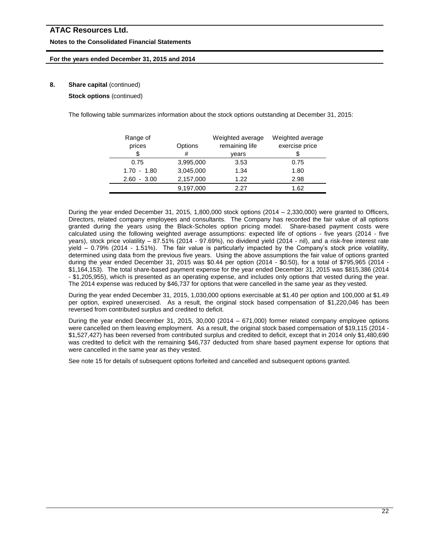#### **Notes to the Consolidated Financial Statements**

#### **For the years ended December 31, 2015 and 2014**

#### **8.** Share capital (continued)

**Stock options** (continued)

The following table summarizes information about the stock options outstanding at December 31, 2015:

| Range of<br>prices | Options   | Weighted average<br>remaining life | Weighted average<br>exercise price |
|--------------------|-----------|------------------------------------|------------------------------------|
|                    | #         | vears                              |                                    |
| 0.75               | 3,995,000 | 3.53                               | 0.75                               |
| $1.70 - 1.80$      | 3,045,000 | 1.34                               | 1.80                               |
| $2.60 - 3.00$      | 2,157,000 | 1.22                               | 2.98                               |
|                    | 9,197,000 | 2 27                               | 1.62                               |

During the year ended December 31, 2015, 1,800,000 stock options (2014 – 2,330,000) were granted to Officers, Directors, related company employees and consultants. The Company has recorded the fair value of all options granted during the years using the Black-Scholes option pricing model. Share-based payment costs were calculated using the following weighted average assumptions: expected life of options - five years (2014 - five years), stock price volatility – 87.51% (2014 - 97.69%), no dividend yield (2014 - nil), and a risk-free interest rate yield – 0.79% (2014 - 1.51%). The fair value is particularly impacted by the Company's stock price volatility, determined using data from the previous five years. Using the above assumptions the fair value of options granted during the year ended December 31, 2015 was \$0.44 per option (2014 - \$0.50), for a total of \$795,965 (2014 - \$1,164,153). The total share-based payment expense for the year ended December 31, 2015 was \$815,386 (2014 - \$1,205,955), which is presented as an operating expense, and includes only options that vested during the year. The 2014 expense was reduced by \$46,737 for options that were cancelled in the same year as they vested.

During the year ended December 31, 2015, 1,030,000 options exercisable at \$1.40 per option and 100,000 at \$1.49 per option, expired unexercised. As a result, the original stock based compensation of \$1,220,046 has been reversed from contributed surplus and credited to deficit.

During the year ended December 31, 2015, 30,000 (2014 – 671,000) former related company employee options were cancelled on them leaving employment. As a result, the original stock based compensation of \$19,115 (2014 - \$1,527,427) has been reversed from contributed surplus and credited to deficit, except that in 2014 only \$1,480,690 was credited to deficit with the remaining \$46,737 deducted from share based payment expense for options that were cancelled in the same year as they vested.

See note 15 for details of subsequent options forfeited and cancelled and subsequent options granted.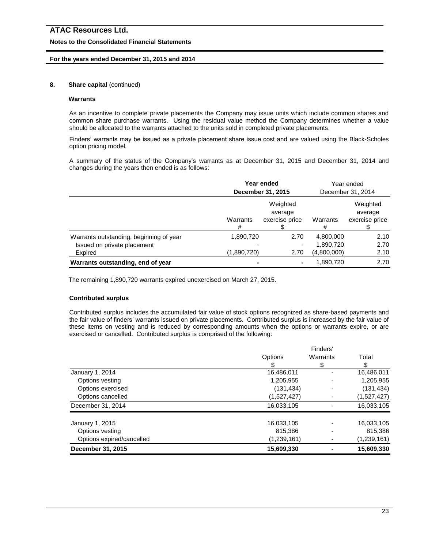#### **Notes to the Consolidated Financial Statements**

#### **For the years ended December 31, 2015 and 2014**

#### **8.** Share capital (continued)

### **Warrants**

As an incentive to complete private placements the Company may issue units which include common shares and common share purchase warrants. Using the residual value method the Company determines whether a value should be allocated to the warrants attached to the units sold in completed private placements.

Finders' warrants may be issued as a private placement share issue cost and are valued using the Black-Scholes option pricing model.

A summary of the status of the Company's warrants as at December 31, 2015 and December 31, 2014 and changes during the years then ended is as follows:

|                                         | Year ended<br>December 31, 2015 |                                       |               | Year ended<br>December 31, 2014       |
|-----------------------------------------|---------------------------------|---------------------------------------|---------------|---------------------------------------|
|                                         | Warrants<br>#                   | Weighted<br>average<br>exercise price | Warrants<br># | Weighted<br>average<br>exercise price |
| Warrants outstanding, beginning of year | 1,890,720                       | 2.70                                  | 4,800,000     | 2.10                                  |
| Issued on private placement             |                                 |                                       | 1,890,720     | 2.70                                  |
| Expired                                 | (1,890,720)                     | 2.70                                  | (4,800,000)   | 2.10                                  |
| Warrants outstanding, end of year       |                                 | ۰                                     | 1,890,720     | 2.70                                  |

The remaining 1,890,720 warrants expired unexercised on March 27, 2015.

#### **Contributed surplus**

Contributed surplus includes the accumulated fair value of stock options recognized as share-based payments and the fair value of finders' warrants issued on private placements. Contributed surplus is increased by the fair value of these items on vesting and is reduced by corresponding amounts when the options or warrants expire, or are exercised or cancelled. Contributed surplus is comprised of the following:

|                           |             | Finders' |               |
|---------------------------|-------------|----------|---------------|
|                           | Options     | Warrants | Total         |
|                           |             | S        | \$            |
| January 1, 2014           | 16,486,011  |          | 16,486,011    |
| Options vesting           | 1,205,955   |          | 1,205,955     |
| Options exercised         | (131, 434)  |          | (131, 434)    |
| Options cancelled         | (1,527,427) |          | (1,527,427)   |
| December 31, 2014         | 16,033,105  |          | 16,033,105    |
| January 1, 2015           | 16,033,105  |          | 16,033,105    |
| Options vesting           | 815,386     |          | 815,386       |
| Options expired/cancelled | (1,239,161) |          | (1, 239, 161) |
| December 31, 2015         | 15,609,330  |          | 15,609,330    |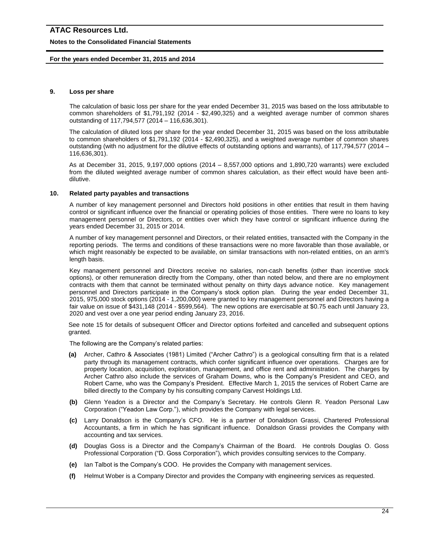#### **Notes to the Consolidated Financial Statements**

#### **For the years ended December 31, 2015 and 2014**

#### **9. Loss per share**

The calculation of basic loss per share for the year ended December 31, 2015 was based on the loss attributable to common shareholders of \$1,791,192 (2014 - \$2,490,325) and a weighted average number of common shares outstanding of 117,794,577 (2014 – 116,636,301).

The calculation of diluted loss per share for the year ended December 31, 2015 was based on the loss attributable to common shareholders of \$1,791,192 (2014 - \$2,490,325), and a weighted average number of common shares outstanding (with no adjustment for the dilutive effects of outstanding options and warrants), of 117,794,577 (2014 – 116,636,301).

As at December 31, 2015, 9,197,000 options (2014 – 8,557,000 options and 1,890,720 warrants) were excluded from the diluted weighted average number of common shares calculation, as their effect would have been antidilutive.

#### **10. Related party payables and transactions**

A number of key management personnel and Directors hold positions in other entities that result in them having control or significant influence over the financial or operating policies of those entities. There were no loans to key management personnel or Directors, or entities over which they have control or significant influence during the years ended December 31, 2015 or 2014.

A number of key management personnel and Directors, or their related entities, transacted with the Company in the reporting periods. The terms and conditions of these transactions were no more favorable than those available, or which might reasonably be expected to be available, on similar transactions with non-related entities, on an arm's length basis.

Key management personnel and Directors receive no salaries, non-cash benefits (other than incentive stock options), or other remuneration directly from the Company, other than noted below, and there are no employment contracts with them that cannot be terminated without penalty on thirty days advance notice. Key management personnel and Directors participate in the Company's stock option plan. During the year ended December 31, 2015, 975,000 stock options (2014 - 1,200,000) were granted to key management personnel and Directors having a fair value on issue of \$431,148 (2014 - \$599,564). The new options are exercisable at \$0.75 each until January 23, 2020 and vest over a one year period ending January 23, 2016.

See note 15 for details of subsequent Officer and Director options forfeited and cancelled and subsequent options granted.

The following are the Company's related parties:

- **(a)** Archer, Cathro & Associates (1981) Limited ("Archer Cathro") is a geological consulting firm that is a related party through its management contracts, which confer significant influence over operations. Charges are for property location, acquisition, exploration, management, and office rent and administration. The charges by Archer Cathro also include the services of Graham Downs, who is the Company's President and CEO, and Robert Carne, who was the Company's President. Effective March 1, 2015 the services of Robert Carne are billed directly to the Company by his consulting company Carvest Holdings Ltd.
- **(b)** Glenn Yeadon is a Director and the Company's Secretary. He controls Glenn R. Yeadon Personal Law Corporation ("Yeadon Law Corp."), which provides the Company with legal services.
- **(c)** Larry Donaldson is the Company's CFO. He is a partner of Donaldson Grassi, Chartered Professional Accountants, a firm in which he has significant influence. Donaldson Grassi provides the Company with accounting and tax services.
- **(d)** Douglas Goss is a Director and the Company's Chairman of the Board. He controls Douglas O. Goss Professional Corporation ("D. Goss Corporation"), which provides consulting services to the Company.
- **(e)** Ian Talbot is the Company's COO. He provides the Company with management services.
- **(f)** Helmut Wober is a Company Director and provides the Company with engineering services as requested.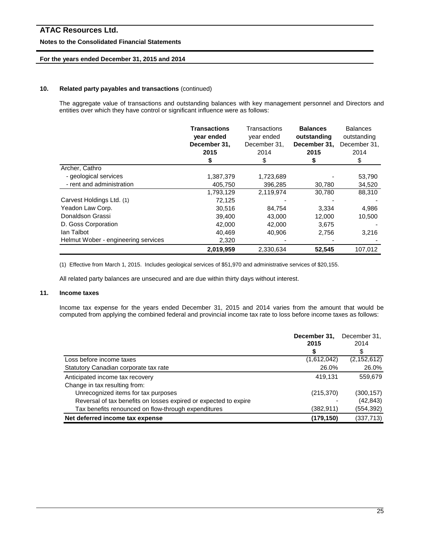#### **Notes to the Consolidated Financial Statements**

#### **For the years ended December 31, 2015 and 2014**

#### **10. Related party payables and transactions** (continued)

The aggregate value of transactions and outstanding balances with key management personnel and Directors and entities over which they have control or significant influence were as follows:

|                                     | <b>Transactions</b><br>year ended<br>December 31,<br>2015 | Transactions<br>year ended<br>December 31,<br>2014<br>\$ | <b>Balances</b><br>outstanding<br>December 31,<br>2015 | <b>Balances</b><br>outstanding<br>December 31,<br>2014<br>\$ |
|-------------------------------------|-----------------------------------------------------------|----------------------------------------------------------|--------------------------------------------------------|--------------------------------------------------------------|
| Archer, Cathro                      |                                                           |                                                          |                                                        |                                                              |
| - geological services               | 1,387,379                                                 | 1,723,689                                                |                                                        | 53,790                                                       |
| - rent and administration           | 405,750                                                   | 396,285                                                  | 30,780                                                 | 34,520                                                       |
|                                     | 1,793,129                                                 | 2,119,974                                                | 30,780                                                 | 88,310                                                       |
| Carvest Holdings Ltd. (1)           | 72,125                                                    |                                                          |                                                        |                                                              |
| Yeadon Law Corp.                    | 30,516                                                    | 84,754                                                   | 3,334                                                  | 4,986                                                        |
| Donaldson Grassi                    | 39,400                                                    | 43,000                                                   | 12,000                                                 | 10,500                                                       |
| D. Goss Corporation                 | 42,000                                                    | 42,000                                                   | 3,675                                                  |                                                              |
| lan Talbot                          | 40.469                                                    | 40.906                                                   | 2,756                                                  | 3,216                                                        |
| Helmut Wober - engineering services | 2,320                                                     |                                                          |                                                        |                                                              |
|                                     | 2,019,959                                                 | 2,330,634                                                | 52,545                                                 | 107,012                                                      |

(1) Effective from March 1, 2015. Includes geological services of \$51,970 and administrative services of \$20,155.

All related party balances are unsecured and are due within thirty days without interest.

#### **11. Income taxes**

Income tax expense for the years ended December 31, 2015 and 2014 varies from the amount that would be computed from applying the combined federal and provincial income tax rate to loss before income taxes as follows:

|                                                                  | December 31.<br>2015 | December 31,<br>2014 |
|------------------------------------------------------------------|----------------------|----------------------|
|                                                                  | S                    | S                    |
| Loss before income taxes                                         | (1,612,042)          | (2, 152, 612)        |
| Statutory Canadian corporate tax rate                            | 26.0%                | 26.0%                |
| Anticipated income tax recovery                                  | 419.131              | 559.679              |
| Change in tax resulting from:                                    |                      |                      |
| Unrecognized items for tax purposes                              | (215, 370)           | (300, 157)           |
| Reversal of tax benefits on losses expired or expected to expire |                      | (42, 843)            |
| Tax benefits renounced on flow-through expenditures              | (382,911)            | (554, 392)           |
| Net deferred income tax expense                                  | (179, 150)           | (337, 713)           |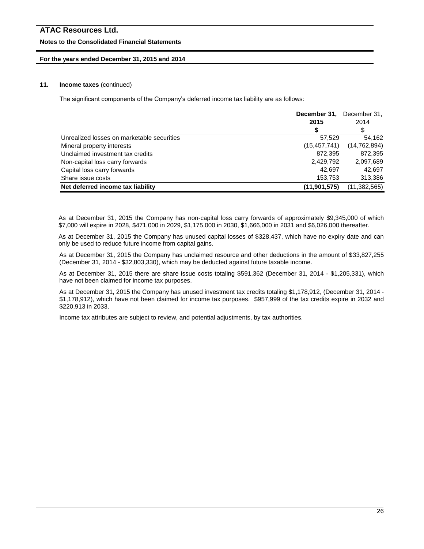#### **Notes to the Consolidated Financial Statements**

#### **For the years ended December 31, 2015 and 2014**

#### **11. Income taxes** (continued)

The significant components of the Company's deferred income tax liability are as follows:

|                                            | December 31,   | December 31,   |
|--------------------------------------------|----------------|----------------|
|                                            | 2015           | 2014           |
|                                            |                | \$             |
| Unrealized losses on marketable securities | 57,529         | 54.162         |
| Mineral property interests                 | (15, 457, 741) | (14, 762, 894) |
| Unclaimed investment tax credits           | 872,395        | 872,395        |
| Non-capital loss carry forwards            | 2,429,792      | 2,097,689      |
| Capital loss carry forwards                | 42.697         | 42.697         |
| Share issue costs                          | 153,753        | 313,386        |
| Net deferred income tax liability          | (11, 901, 575) | (11, 382, 565) |

As at December 31, 2015 the Company has non-capital loss carry forwards of approximately \$9,345,000 of which \$7,000 will expire in 2028, \$471,000 in 2029, \$1,175,000 in 2030, \$1,666,000 in 2031 and \$6,026,000 thereafter.

As at December 31, 2015 the Company has unused capital losses of \$328,437, which have no expiry date and can only be used to reduce future income from capital gains.

As at December 31, 2015 the Company has unclaimed resource and other deductions in the amount of \$33,827,255 (December 31, 2014 - \$32,803,330), which may be deducted against future taxable income.

As at December 31, 2015 there are share issue costs totaling \$591,362 (December 31, 2014 - \$1,205,331), which have not been claimed for income tax purposes.

As at December 31, 2015 the Company has unused investment tax credits totaling \$1,178,912, (December 31, 2014 - \$1,178,912), which have not been claimed for income tax purposes. \$957,999 of the tax credits expire in 2032 and \$220,913 in 2033.

Income tax attributes are subject to review, and potential adjustments, by tax authorities.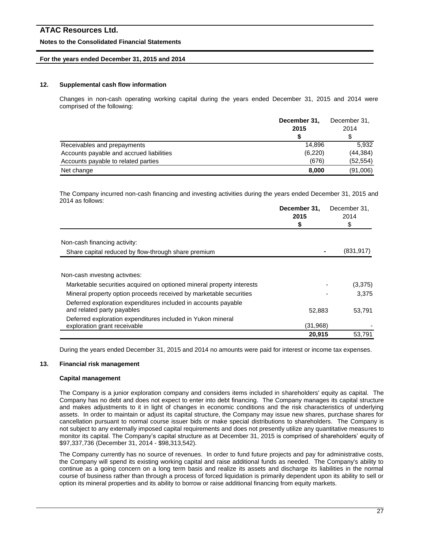#### **Notes to the Consolidated Financial Statements**

#### **For the years ended December 31, 2015 and 2014**

#### **12. Supplemental cash flow information**

Changes in non-cash operating working capital during the years ended December 31, 2015 and 2014 were comprised of the following:

|                                          | December 31, | December 31, |  |
|------------------------------------------|--------------|--------------|--|
|                                          | 2015         | 2014         |  |
|                                          |              | S            |  |
| Receivables and prepayments              | 14.896       | 5.932        |  |
| Accounts payable and accrued liabilities | (6,220)      | (44, 384)    |  |
| Accounts payable to related parties      | (676)        | (52, 554)    |  |
| Net change                               | 8,000        | (91,006)     |  |

The Company incurred non-cash financing and investing activities during the years ended December 31, 2015 and 2014 as follows:

|                                                                                              | December 31,<br>2015<br>\$ | December 31,<br>2014<br>\$ |
|----------------------------------------------------------------------------------------------|----------------------------|----------------------------|
|                                                                                              |                            |                            |
| Non-cash financing activity:                                                                 |                            |                            |
| Share capital reduced by flow-through share premium                                          |                            | (831, 917)                 |
| Non-cash investing activities:                                                               |                            |                            |
| Marketable securities acquired on optioned mineral property interests                        |                            | (3,375)                    |
| Mineral property option proceeds received by marketable securities                           |                            | 3,375                      |
| Deferred exploration expenditures included in accounts payable<br>and related party payables | 52.883                     | 53,791                     |
| Deferred exploration expenditures included in Yukon mineral<br>exploration grant receivable  | (31,968)                   |                            |
|                                                                                              | 20,915                     | 53,791                     |

During the years ended December 31, 2015 and 2014 no amounts were paid for interest or income tax expenses.

#### **13. Financial risk management**

#### **Capital management**

The Company is a junior exploration company and considers items included in shareholders' equity as capital. The Company has no debt and does not expect to enter into debt financing. The Company manages its capital structure and makes adjustments to it in light of changes in economic conditions and the risk characteristics of underlying assets. In order to maintain or adjust its capital structure, the Company may issue new shares, purchase shares for cancellation pursuant to normal course issuer bids or make special distributions to shareholders. The Company is not subject to any externally imposed capital requirements and does not presently utilize any quantitative measures to monitor its capital. The Company's capital structure as at December 31, 2015 is comprised of shareholders' equity of \$97,337,736 (December 31, 2014 - \$98,313,542).

The Company currently has no source of revenues. In order to fund future projects and pay for administrative costs, the Company will spend its existing working capital and raise additional funds as needed. The Company's ability to continue as a going concern on a long term basis and realize its assets and discharge its liabilities in the normal course of business rather than through a process of forced liquidation is primarily dependent upon its ability to sell or option its mineral properties and its ability to borrow or raise additional financing from equity markets.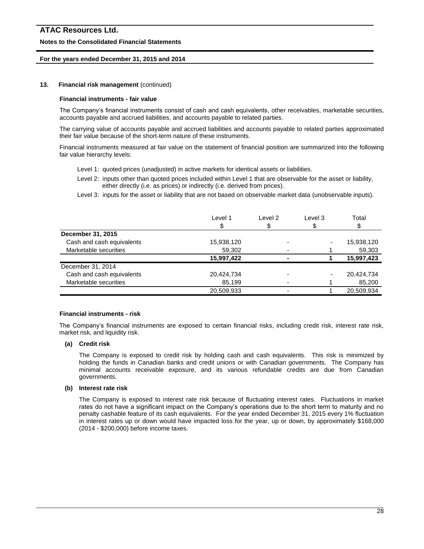#### **Notes to the Consolidated Financial Statements**

#### **For the years ended December 31, 2015 and 2014**

#### **13. Financial risk management** (continued)

#### **Financial instruments - fair value**

The Company's financial instruments consist of cash and cash equivalents, other receivables, marketable securities, accounts payable and accrued liabilities, and accounts payable to related parties.

The carrying value of accounts payable and accrued liabilities and accounts payable to related parties approximated their fair value because of the short-term nature of these instruments.

Financial instruments measured at fair value on the statement of financial position are summarized into the following fair value hierarchy levels:

- Level 1: quoted prices (unadjusted) in active markets for identical assets or liabilities.
- Level 2: inputs other than quoted prices included within Level 1 that are observable for the asset or liability, either directly (i.e. as prices) or indirectly (i.e. derived from prices).

Level 3: inputs for the asset or liability that are not based on observable market data (unobservable inputs).

|                           | Level 1    | Level 2 | Level 3 | Total      |
|---------------------------|------------|---------|---------|------------|
|                           | \$         | \$      |         |            |
| December 31, 2015         |            |         |         |            |
| Cash and cash equivalents | 15,938,120 |         |         | 15,938,120 |
| Marketable securities     | 59,302     |         |         | 59,303     |
|                           | 15,997,422 |         |         | 15,997,423 |
| December 31, 2014         |            |         |         |            |
| Cash and cash equivalents | 20,424,734 |         |         | 20,424,734 |
| Marketable securities     | 85.199     |         |         | 85,200     |
|                           | 20,509,933 |         |         | 20,509,934 |

#### **Financial instruments - risk**

The Company's financial instruments are exposed to certain financial risks, including credit risk, interest rate risk, market risk, and liquidity risk.

#### **(a) Credit risk**

The Company is exposed to credit risk by holding cash and cash equivalents. This risk is minimized by holding the funds in Canadian banks and credit unions or with Canadian governments. The Company has minimal accounts receivable exposure, and its various refundable credits are due from Canadian governments.

#### **(b) Interest rate risk**

The Company is exposed to interest rate risk because of fluctuating interest rates. Fluctuations in market rates do not have a significant impact on the Company's operations due to the short term to maturity and no penalty cashable feature of its cash equivalents. For the year ended December 31, 2015 every 1% fluctuation in interest rates up or down would have impacted loss for the year, up or down, by approximately \$168,000 (2014 - \$200,000) before income taxes.